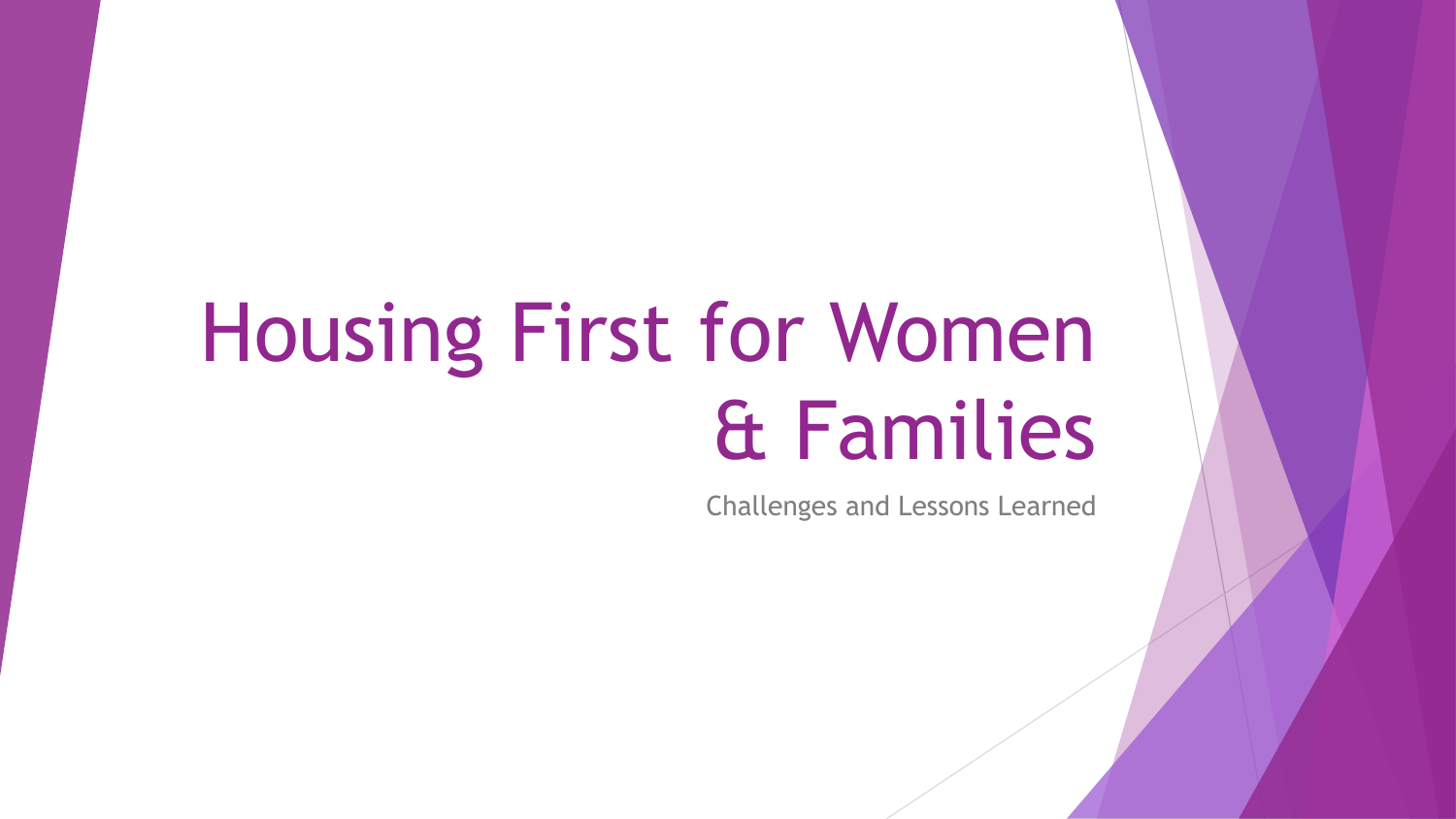# Housing First for Women & Families

Challenges and Lessons Learned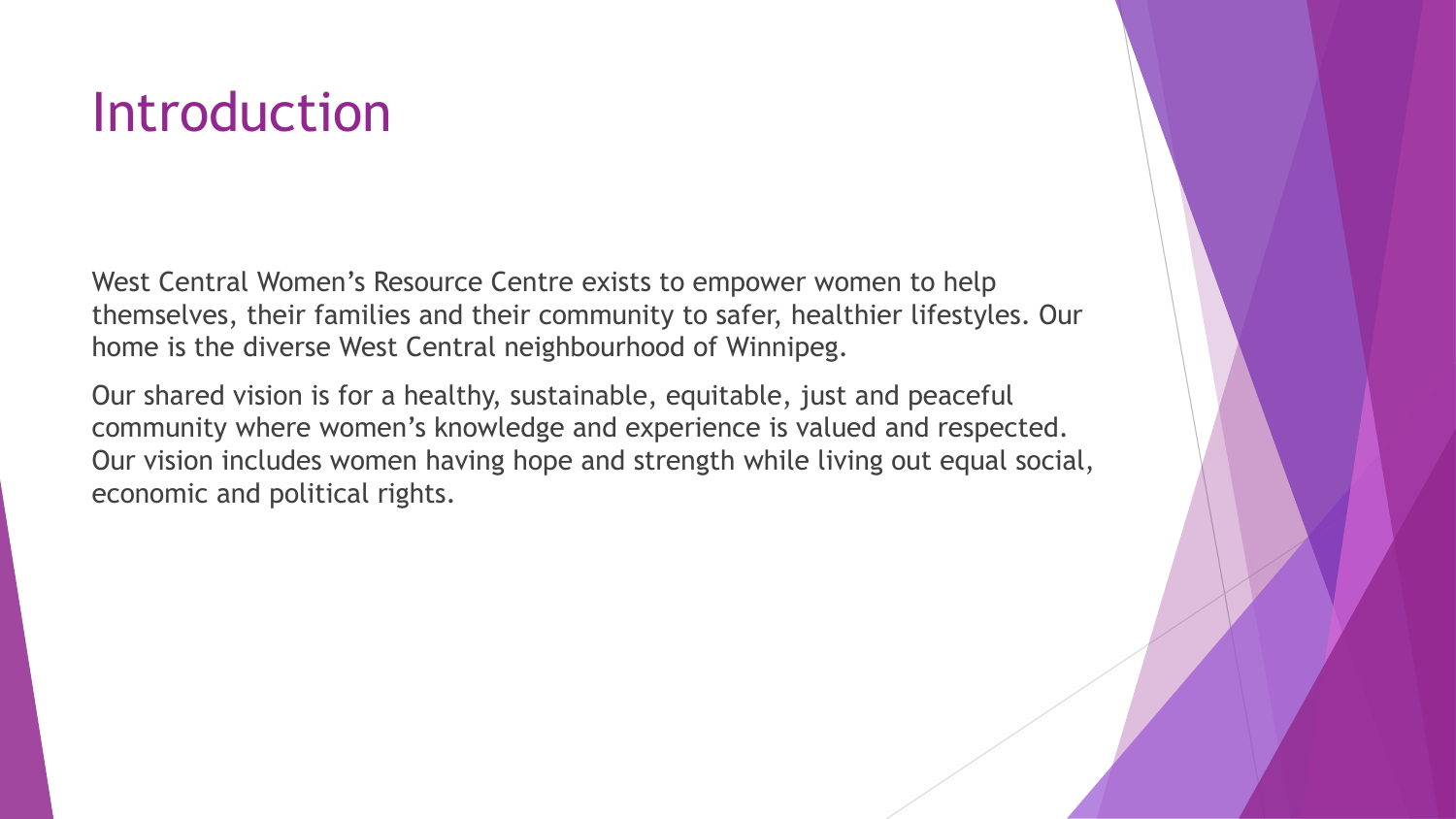### Introduction

West Central Women's Resource Centre exists to empower women to help themselves, their families and their community to safer, healthier lifestyles. Our home is the diverse West Central neighbourhood of Winnipeg.

Our shared vision is for a healthy, sustainable, equitable, just and peaceful community where women's knowledge and experience is valued and respected. Our vision includes women having hope and strength while living out equal social, economic and political rights.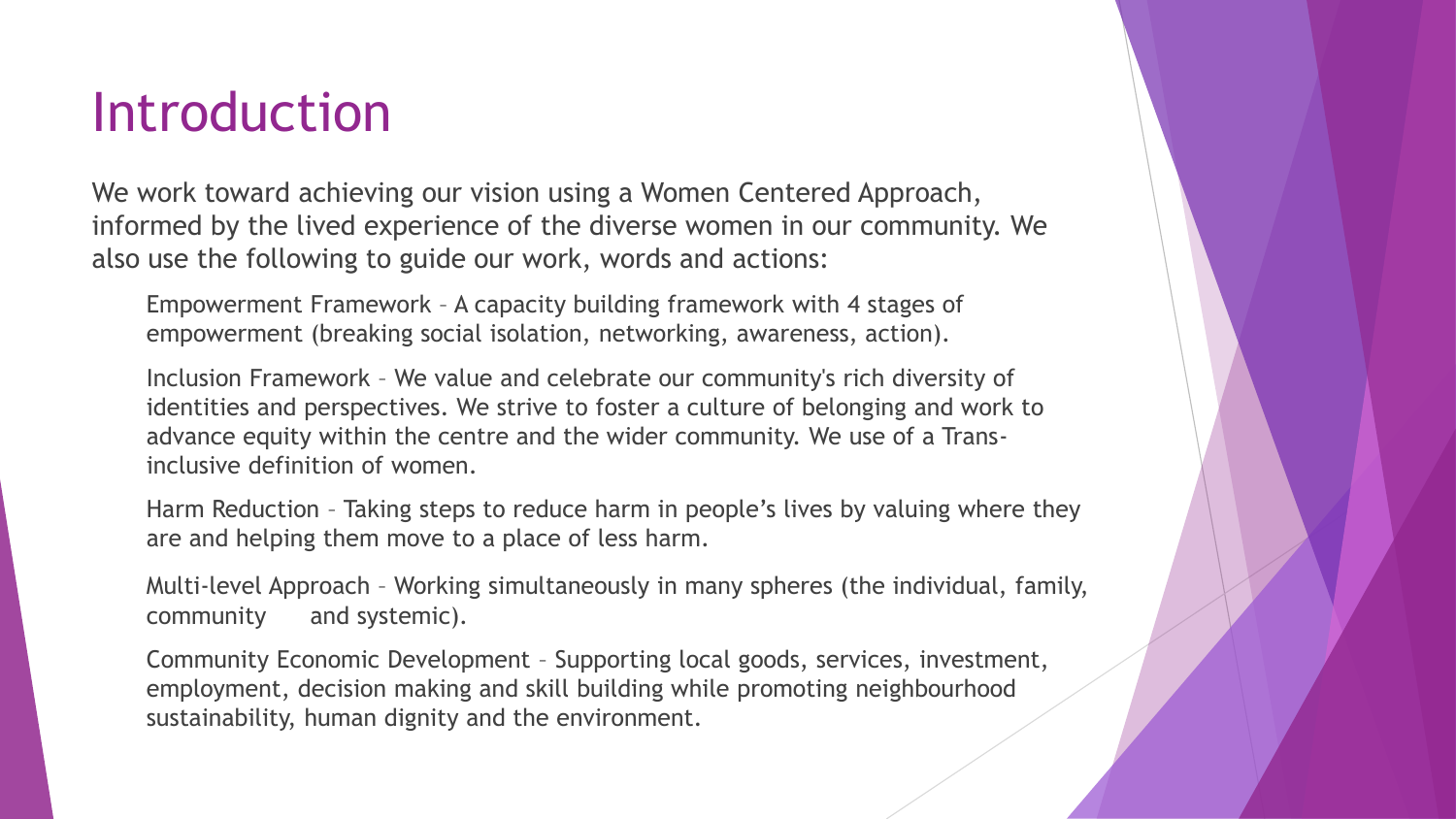### Introduction

We work toward achieving our vision using a Women Centered Approach, informed by the lived experience of the diverse women in our community. We also use the following to guide our work, words and actions:

Empowerment Framework – A capacity building framework with 4 stages of empowerment (breaking social isolation, networking, awareness, action).

Inclusion Framework – We value and celebrate our community's rich diversity of identities and perspectives. We strive to foster a culture of belonging and work to advance equity within the centre and the wider community. We use of a Transinclusive definition of women.

Harm Reduction – Taking steps to reduce harm in people's lives by valuing where they are and helping them move to a place of less harm.

Multi-level Approach – Working simultaneously in many spheres (the individual, family, community and systemic).

Community Economic Development – Supporting local goods, services, investment, employment, decision making and skill building while promoting neighbourhood sustainability, human dignity and the environment.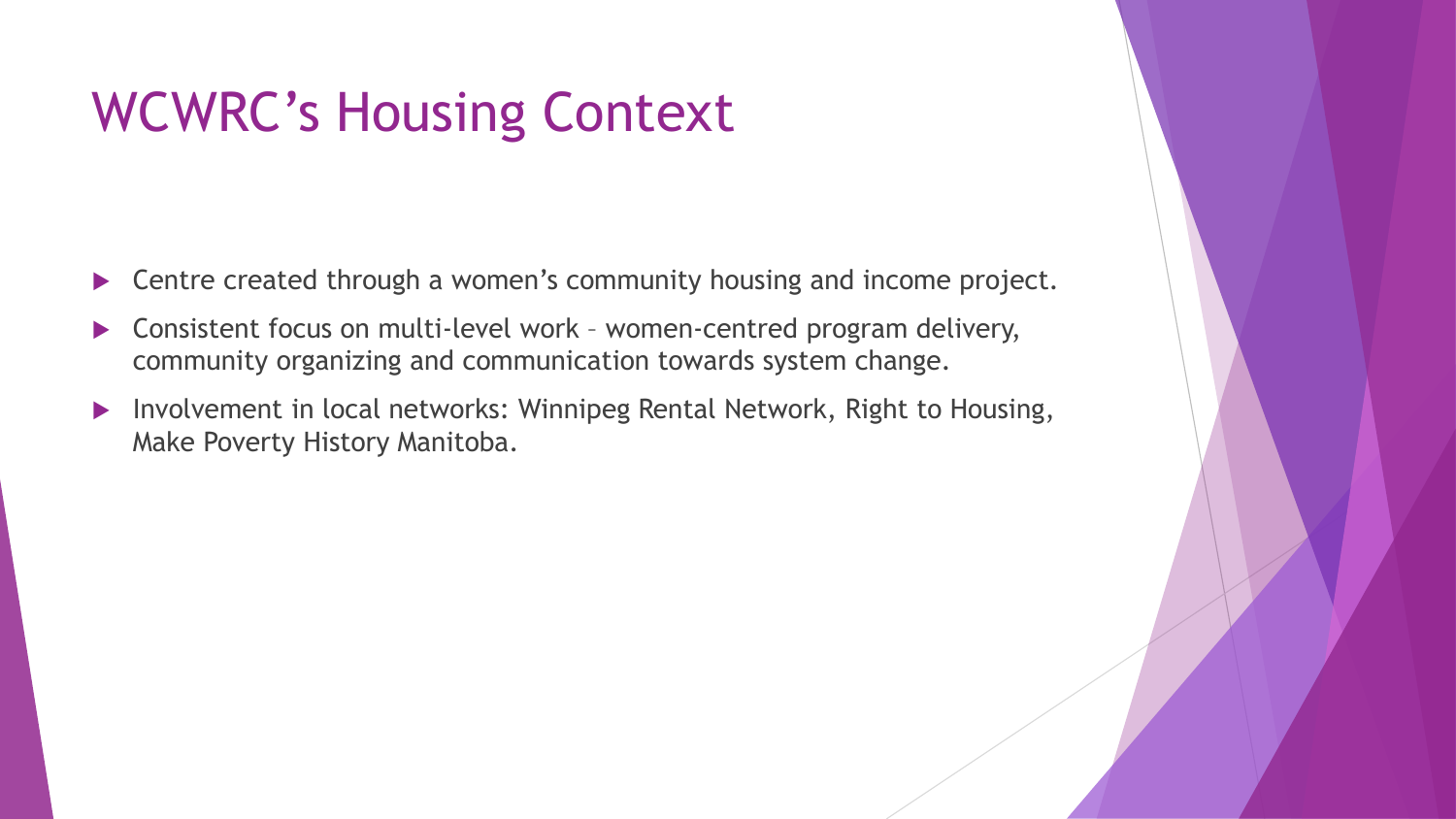### WCWRC's Housing Context

- ▶ Centre created through a women's community housing and income project.
- Consistent focus on multi-level work women-centred program delivery, community organizing and communication towards system change.
- Involvement in local networks: Winnipeg Rental Network, Right to Housing, Make Poverty History Manitoba.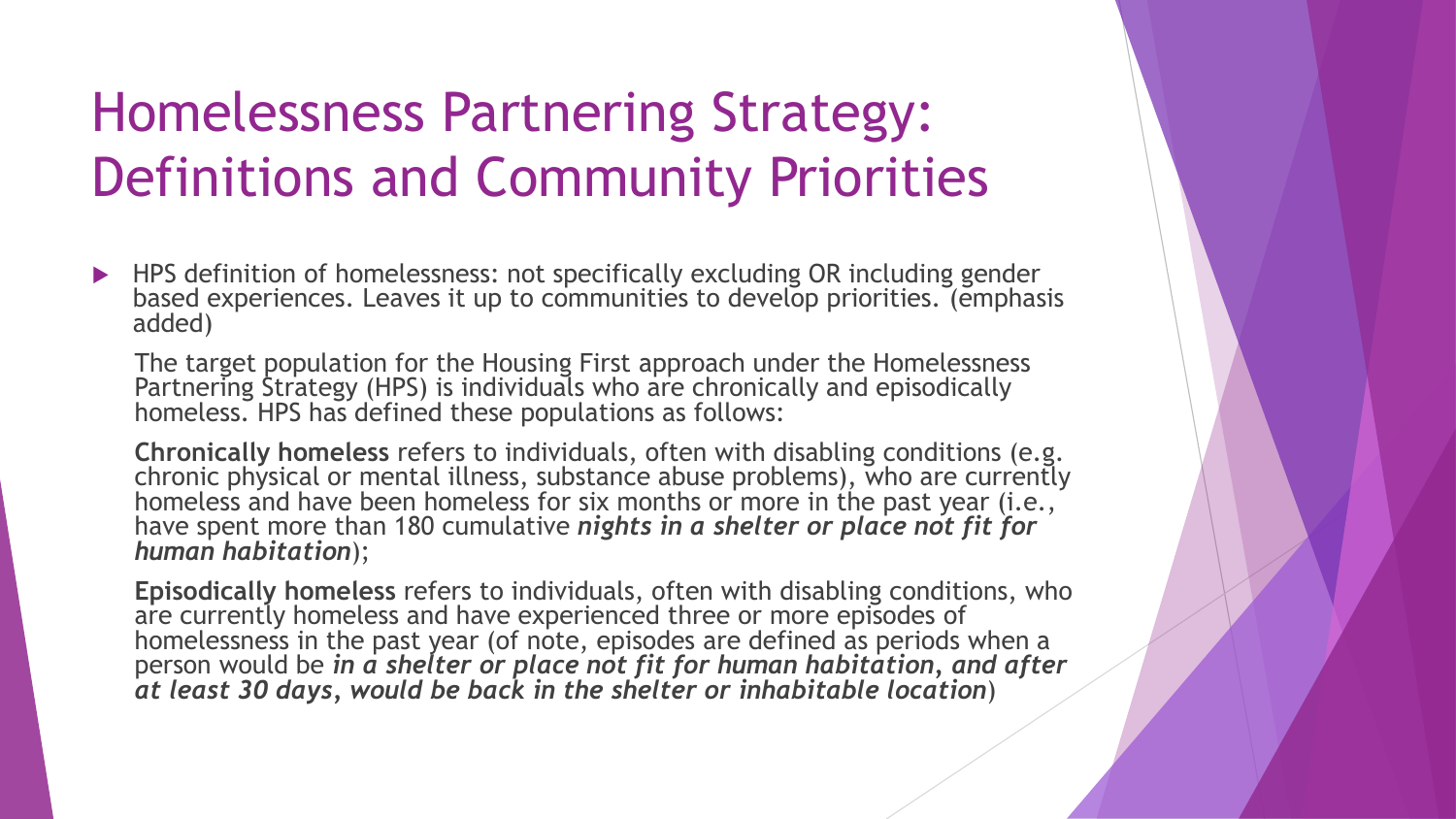### Homelessness Partnering Strategy: Definitions and Community Priorities

▶ HPS definition of homelessness: not specifically excluding OR including gender based experiences. Leaves it up to communities to develop priorities. (emphasis added)

The target population for the Housing First approach under the Homelessness Partnering Strategy (HPS) is individuals who are chronically and episodically homeless. HPS has defined these populations as follows:

**Chronically homeless** refers to individuals, often with disabling conditions (e.g. chronic physical or mental illness, substance abuse problems), who are currently homeless and have been homeless for six months or more in the past year (i.e., have spent more than 180 cumulative *nights in a shelter or place not fit for human habitation*);

**Episodically homeless** refers to individuals, often with disabling conditions, who are currently homeless and have experienced three or more episodes of homelessness in the past year (of note, episodes are defined as periods when a person would be *in a shelter or place not fit for human habitation, and after at least 30 days, would be back in the shelter or inhabitable location*)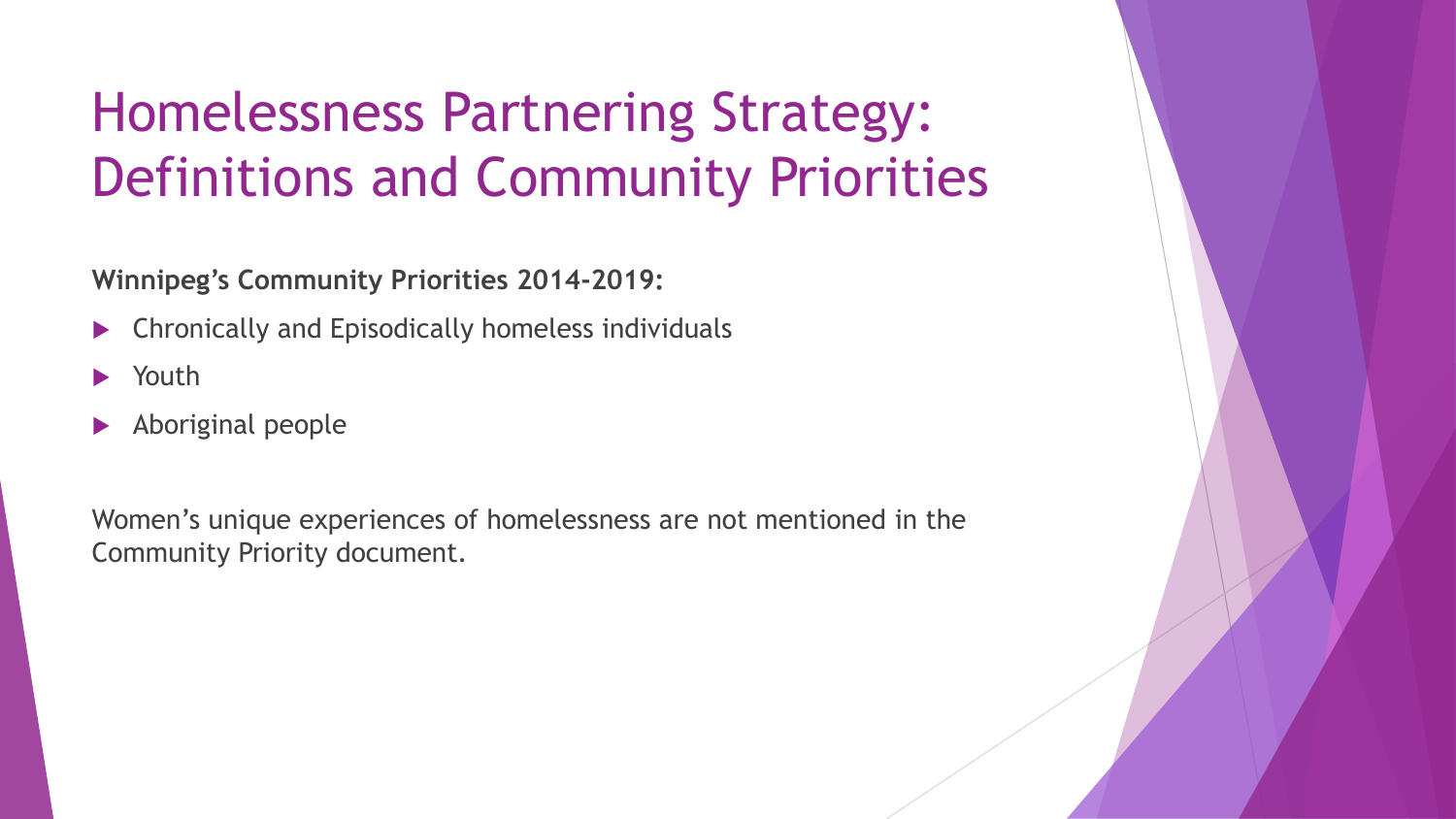### Homelessness Partnering Strategy: Definitions and Community Priorities

**Winnipeg's Community Priorities 2014-2019:**

- Chronically and Episodically homeless individuals
- Youth
- Aboriginal people

Women's unique experiences of homelessness are not mentioned in the Community Priority document.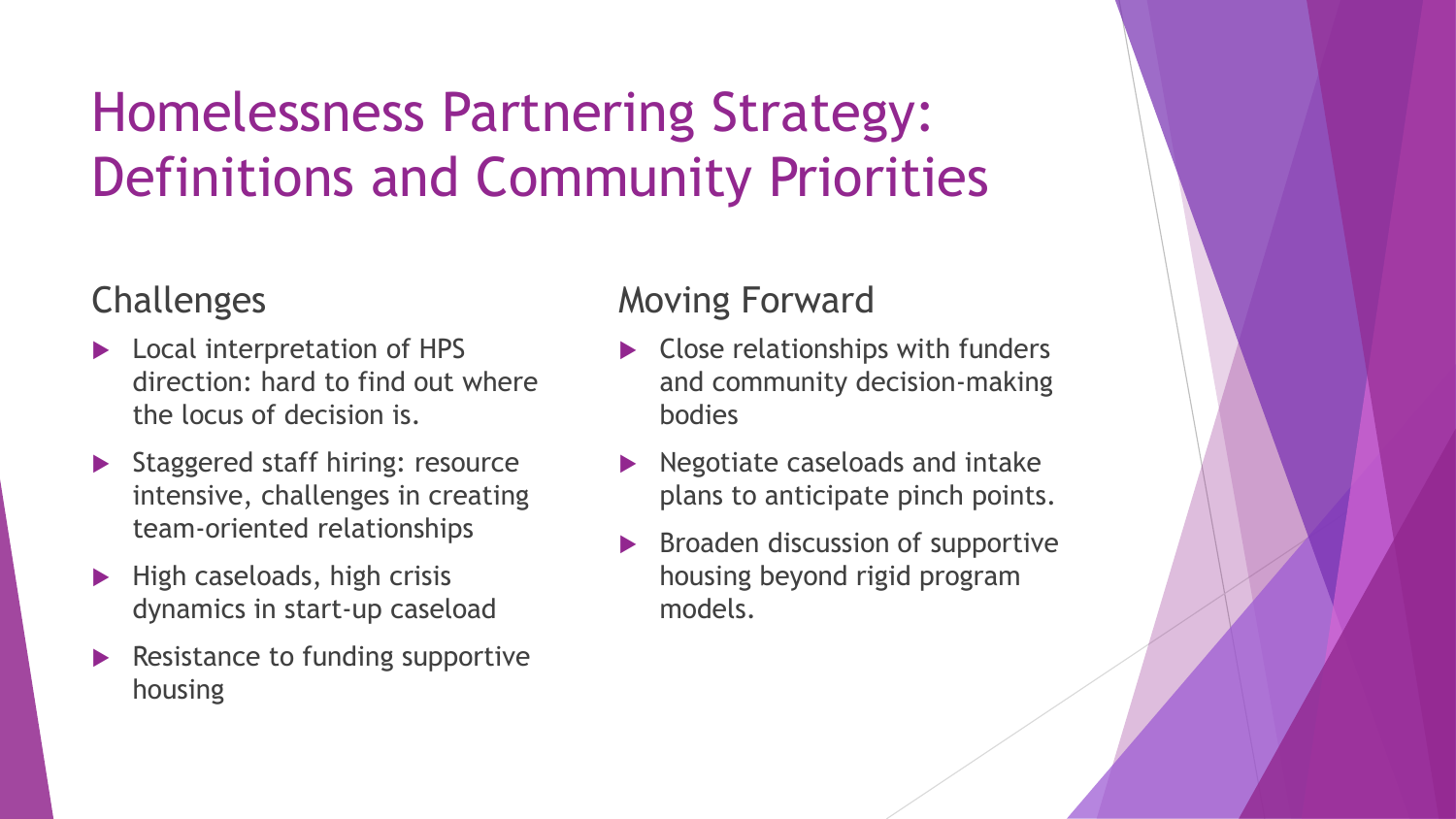### Homelessness Partnering Strategy: Definitions and Community Priorities

#### Challenges

- **Local interpretation of HPS** direction: hard to find out where the locus of decision is.
- Staggered staff hiring: resource intensive, challenges in creating team-oriented relationships
- $\blacktriangleright$  High caseloads, high crisis dynamics in start-up caseload
- Resistance to funding supportive housing

#### Moving Forward

- ▶ Close relationships with funders and community decision-making bodies
- Negotiate caseloads and intake plans to anticipate pinch points.
- Broaden discussion of supportive housing beyond rigid program models.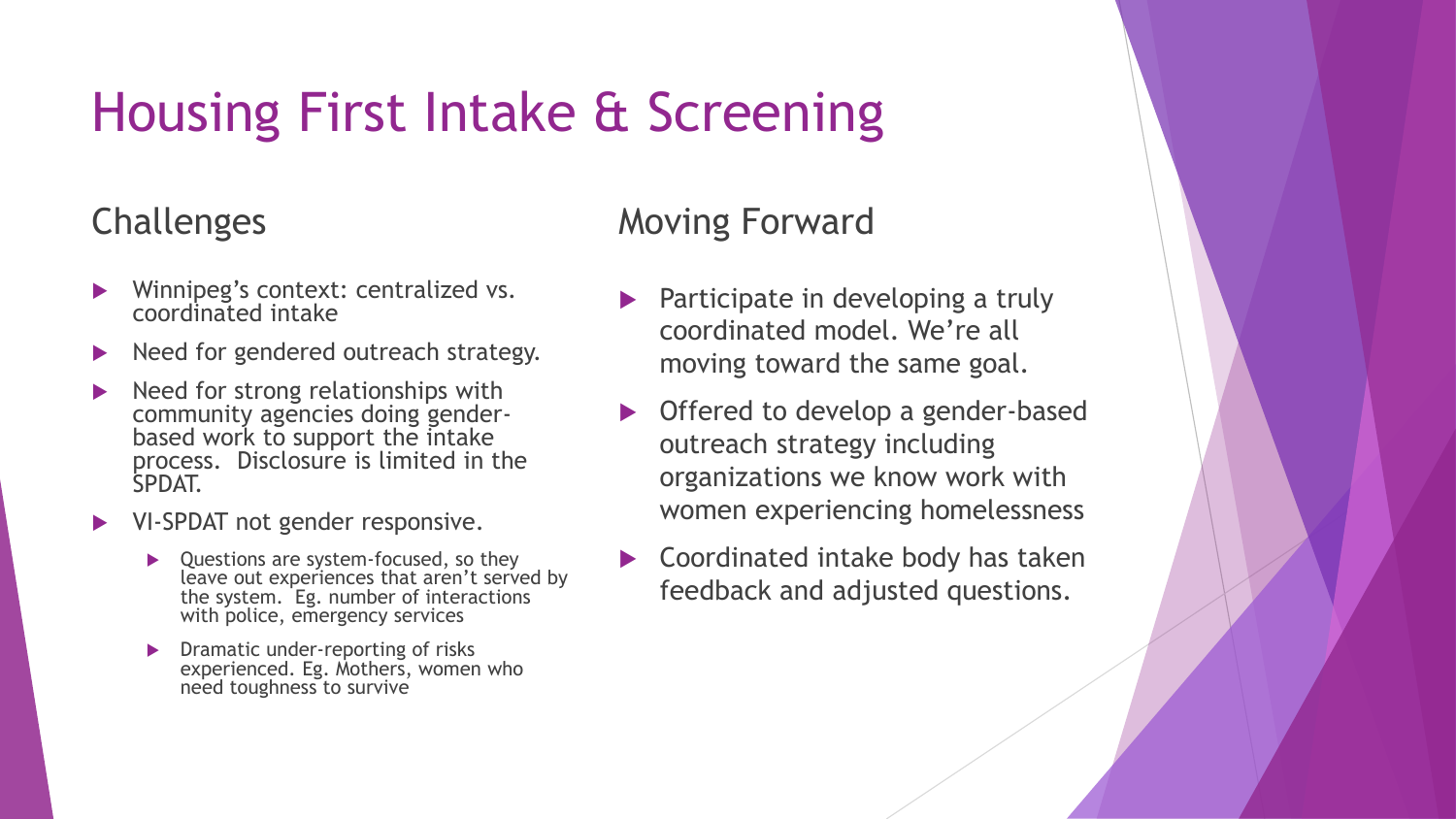## Housing First Intake & Screening

#### Challenges

- Winnipeg's context: centralized vs. coordinated intake
- Need for gendered outreach strategy.
- $\blacktriangleright$  Need for strong relationships with community agencies doing genderbased work to support the intake process. Disclosure is limited in the SPDAT.
- VI-SPDAT not gender responsive.
	- ▶ Questions are system-focused, so they leave out experiences that aren't served by the system. Eg. number of interactions with police, emergency services
	- **Dramatic under-reporting of risks** experienced. Eg. Mothers, women who need toughness to survive

#### Moving Forward

- $\blacktriangleright$  Participate in developing a truly coordinated model. We're all moving toward the same goal.
- ▶ Offered to develop a gender-based outreach strategy including organizations we know work with women experiencing homelessness
- Coordinated intake body has taken feedback and adjusted questions.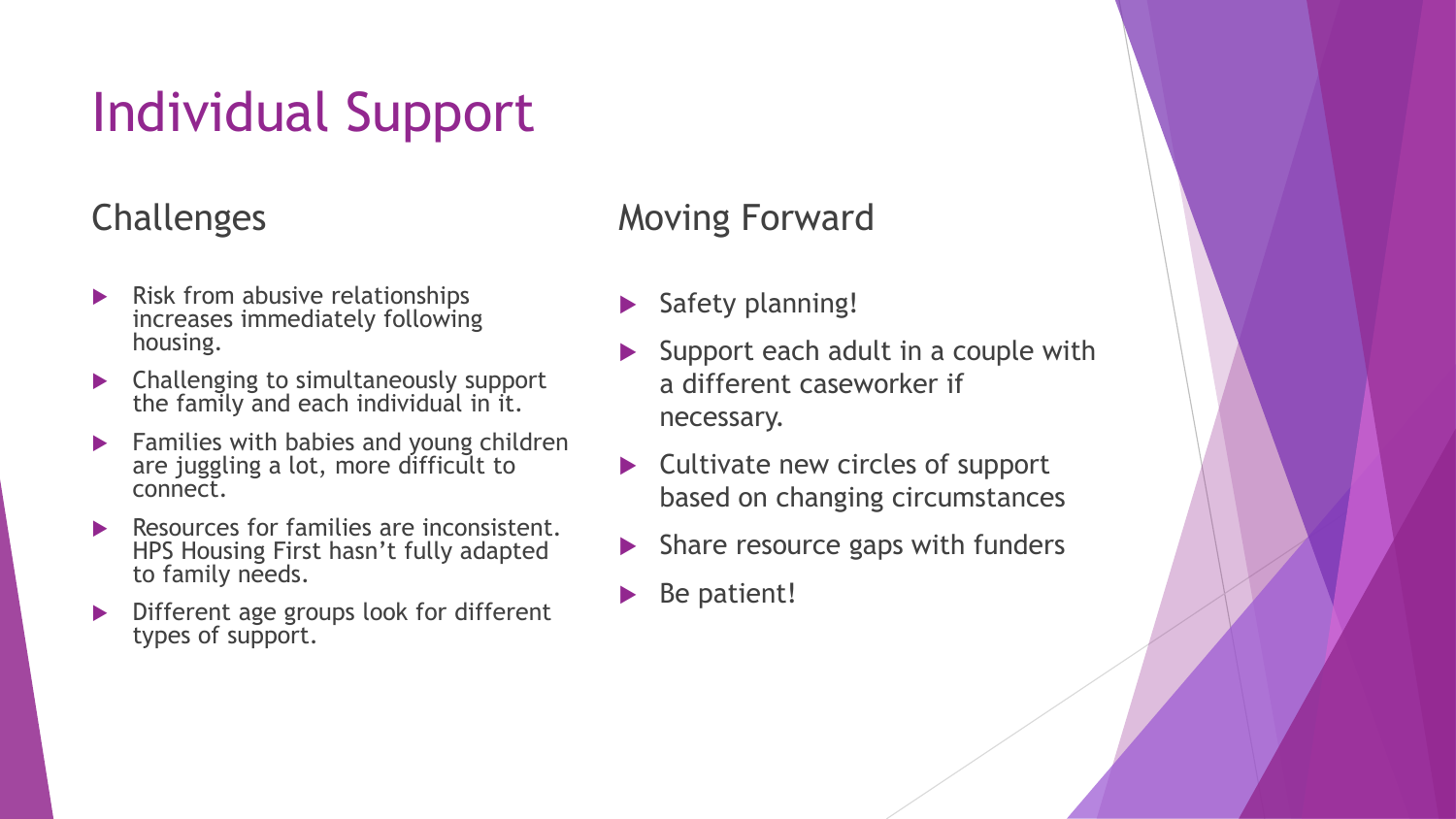## Individual Support

### Challenges

- Risk from abusive relationships increases immediately following housing.
- **EX Challenging to simultaneously support** the family and each individual in it.
- Families with babies and young children are juggling a lot, more difficult to connect.
- Resources for families are inconsistent. HPS Housing First hasn't fully adapted to family needs.
- Different age groups look for different types of support.

### Moving Forward

- Safety planning!
- Support each adult in a couple with a different caseworker if necessary.
- $\triangleright$  Cultivate new circles of support based on changing circumstances
- Share resource gaps with funders
- Be patient!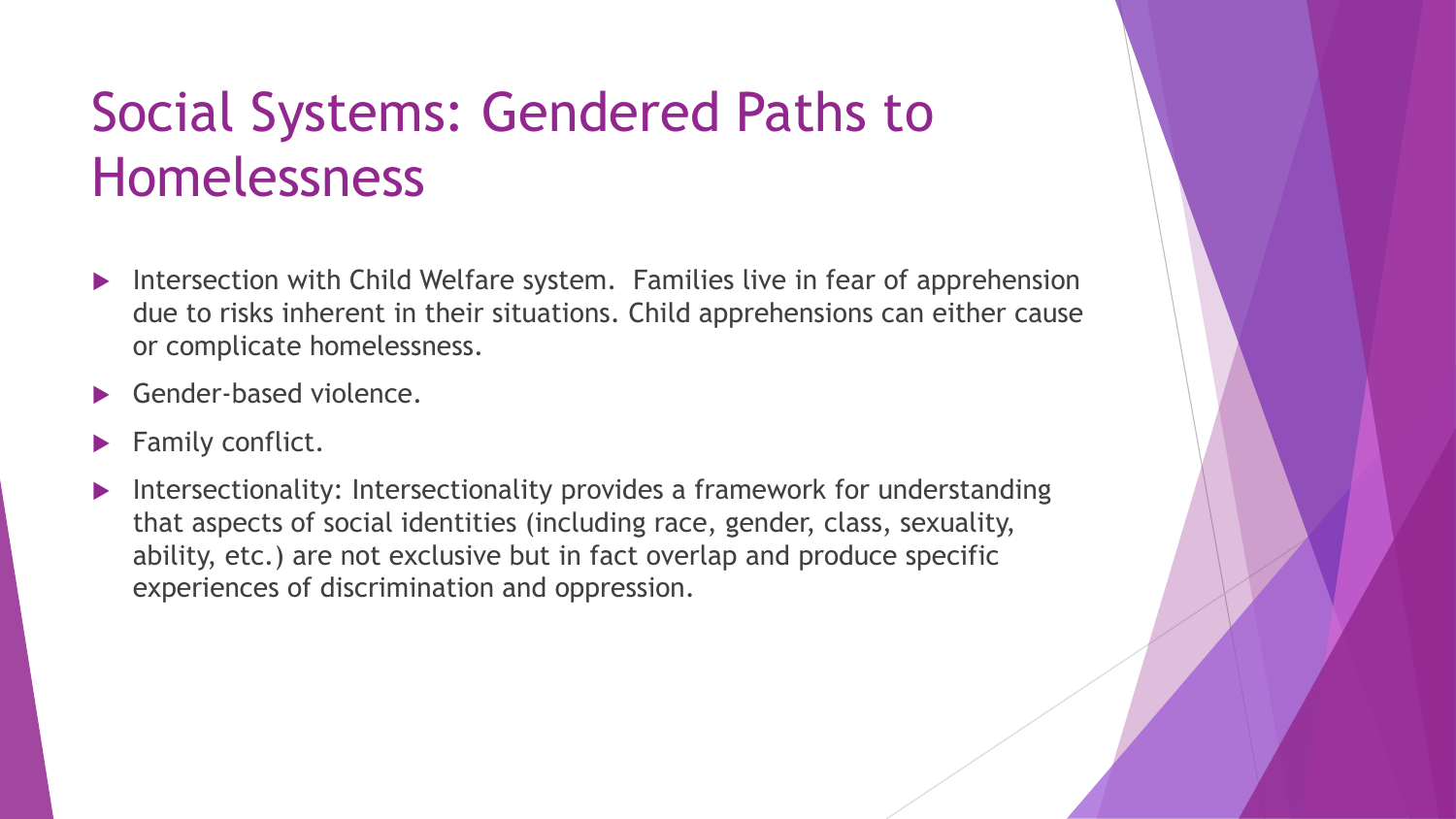### Social Systems: Gendered Paths to Homelessness

- ▶ Intersection with Child Welfare system. Families live in fear of apprehension due to risks inherent in their situations. Child apprehensions can either cause or complicate homelessness.
- Gender-based violence.
- Family conflict.
- Intersectionality: Intersectionality provides a framework for understanding that aspects of social identities (including race, gender, class, sexuality, ability, etc.) are not exclusive but in fact overlap and produce specific experiences of discrimination and oppression.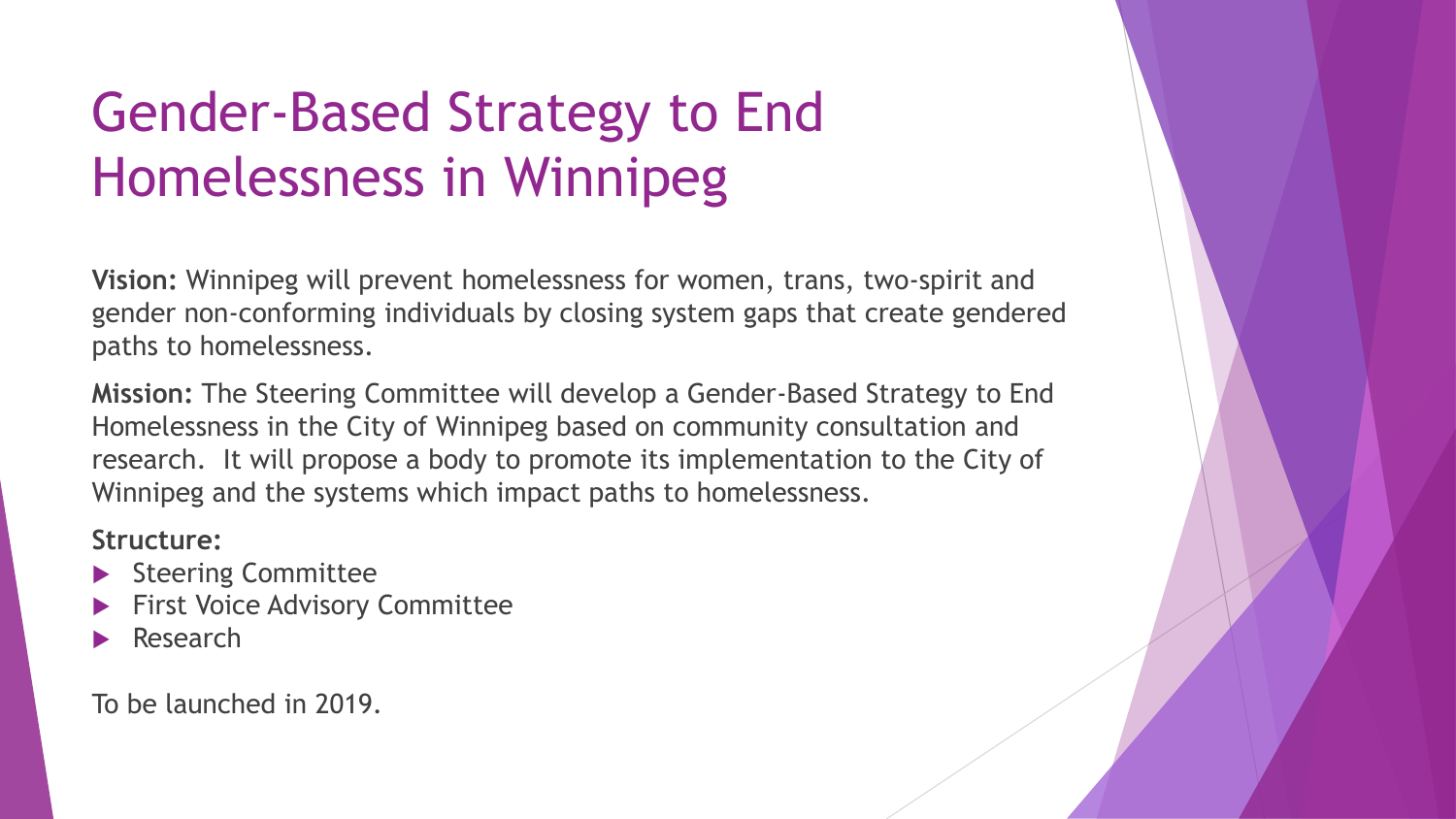## Gender-Based Strategy to End Homelessness in Winnipeg

**Vision:** Winnipeg will prevent homelessness for women, trans, two-spirit and gender non-conforming individuals by closing system gaps that create gendered paths to homelessness.

**Mission:** The Steering Committee will develop a Gender-Based Strategy to End Homelessness in the City of Winnipeg based on community consultation and research. It will propose a body to promote its implementation to the City of Winnipeg and the systems which impact paths to homelessness.

#### **Structure:**

- Steering Committee
- First Voice Advisory Committee
- Research

To be launched in 2019.